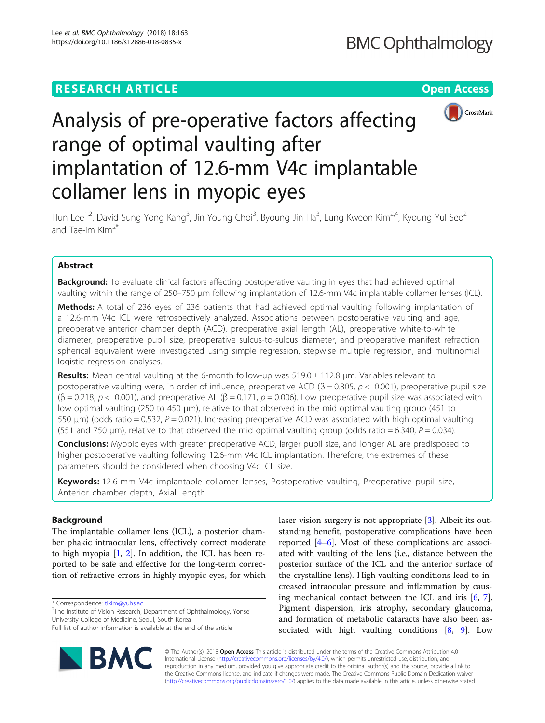## **RESEARCH ARTICLE Example 2014 12:30 The Open Access**



# Analysis of pre-operative factors affecting range of optimal vaulting after implantation of 12.6-mm V4c implantable collamer lens in myopic eyes

Hun Lee<sup>1,2</sup>, David Sung Yong Kang<sup>3</sup>, Jin Young Choi<sup>3</sup>, Byoung Jin Ha<sup>3</sup>, Eung Kweon Kim<sup>2,4</sup>, Kyoung Yul Seo<sup>2</sup> and Tae-im Kim2\*

## Abstract

Background: To evaluate clinical factors affecting postoperative vaulting in eyes that had achieved optimal vaulting within the range of 250–750 μm following implantation of 12.6-mm V4c implantable collamer lenses (ICL).

Methods: A total of 236 eyes of 236 patients that had achieved optimal vaulting following implantation of a 12.6-mm V4c ICL were retrospectively analyzed. Associations between postoperative vaulting and age, preoperative anterior chamber depth (ACD), preoperative axial length (AL), preoperative white-to-white diameter, preoperative pupil size, preoperative sulcus-to-sulcus diameter, and preoperative manifest refraction spherical equivalent were investigated using simple regression, stepwise multiple regression, and multinomial logistic regression analyses.

Results: Mean central vaulting at the 6-month follow-up was 519.0  $\pm$  112.8 µm. Variables relevant to postoperative vaulting were, in order of influence, preoperative ACD ( $\beta$  = 0.305,  $p$  < 0.001), preoperative pupil size  $(\beta = 0.218, p < 0.001)$ , and preoperative AL  $(\beta = 0.171, p = 0.006)$ . Low preoperative pupil size was associated with low optimal vaulting (250 to 450 μm), relative to that observed in the mid optimal vaulting group (451 to 550  $\mu$ m) (odds ratio = 0.532, P = 0.021). Increasing preoperative ACD was associated with high optimal vaulting (551 and 750  $\mu$ m), relative to that observed the mid optimal vaulting group (odds ratio = 6.340, P = 0.034).

**Conclusions:** Myopic eyes with greater preoperative ACD, larger pupil size, and longer AL are predisposed to higher postoperative vaulting following 12.6-mm V4c ICL implantation. Therefore, the extremes of these parameters should be considered when choosing V4c ICL size.

Keywords: 12.6-mm V4c implantable collamer lenses, Postoperative vaulting, Preoperative pupil size, Anterior chamber depth, Axial length

## Background

The implantable collamer lens (ICL), a posterior chamber phakic intraocular lens, effectively correct moderate to high myopia [[1,](#page-5-0) [2](#page-5-0)]. In addition, the ICL has been reported to be safe and effective for the long-term correction of refractive errors in highly myopic eyes, for which

\* Correspondence: [tikim@yuhs.ac](mailto:tikim@yuhs.ac) <sup>2</sup>

Full list of author information is available at the end of the article



laser vision surgery is not appropriate [\[3](#page-5-0)]. Albeit its outstanding benefit, postoperative complications have been reported [[4](#page-5-0)–[6](#page-5-0)]. Most of these complications are associated with vaulting of the lens (i.e., distance between the posterior surface of the ICL and the anterior surface of the crystalline lens). High vaulting conditions lead to increased intraocular pressure and inflammation by causing mechanical contact between the ICL and iris [\[6](#page-5-0), [7](#page-5-0)]. Pigment dispersion, iris atrophy, secondary glaucoma, and formation of metabolic cataracts have also been associated with high vaulting conditions [\[8,](#page-5-0) [9](#page-5-0)]. Low

© The Author(s). 2018 Open Access This article is distributed under the terms of the Creative Commons Attribution 4.0 International License [\(http://creativecommons.org/licenses/by/4.0/](http://creativecommons.org/licenses/by/4.0/)), which permits unrestricted use, distribution, and reproduction in any medium, provided you give appropriate credit to the original author(s) and the source, provide a link to the Creative Commons license, and indicate if changes were made. The Creative Commons Public Domain Dedication waiver [\(http://creativecommons.org/publicdomain/zero/1.0/](http://creativecommons.org/publicdomain/zero/1.0/)) applies to the data made available in this article, unless otherwise stated.

 $2$ The Institute of Vision Research, Department of Ophthalmology, Yonsei University College of Medicine, Seoul, South Korea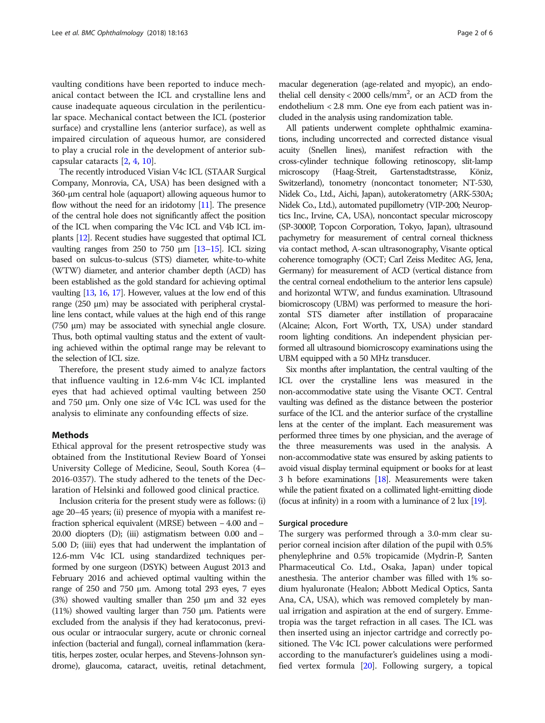vaulting conditions have been reported to induce mechanical contact between the ICL and crystalline lens and cause inadequate aqueous circulation in the perilenticular space. Mechanical contact between the ICL (posterior surface) and crystalline lens (anterior surface), as well as impaired circulation of aqueous humor, are considered to play a crucial role in the development of anterior subcapsular cataracts [\[2](#page-5-0), [4](#page-5-0), [10](#page-5-0)].

The recently introduced Visian V4c ICL (STAAR Surgical Company, Monrovia, CA, USA) has been designed with a 360-μm central hole (aquaport) allowing aqueous humor to flow without the need for an iridotomy [[11\]](#page-5-0). The presence of the central hole does not significantly affect the position of the ICL when comparing the V4c ICL and V4b ICL implants [\[12\]](#page-5-0). Recent studies have suggested that optimal ICL vaulting ranges from 250 to 750 μm [\[13](#page-5-0)–[15\]](#page-5-0). ICL sizing based on sulcus-to-sulcus (STS) diameter, white-to-white (WTW) diameter, and anterior chamber depth (ACD) has been established as the gold standard for achieving optimal vaulting [[13](#page-5-0), [16,](#page-5-0) [17\]](#page-5-0). However, values at the low end of this range (250 μm) may be associated with peripheral crystalline lens contact, while values at the high end of this range (750 μm) may be associated with synechial angle closure. Thus, both optimal vaulting status and the extent of vaulting achieved within the optimal range may be relevant to the selection of ICL size.

Therefore, the present study aimed to analyze factors that influence vaulting in 12.6-mm V4c ICL implanted eyes that had achieved optimal vaulting between 250 and 750 μm. Only one size of V4c ICL was used for the analysis to eliminate any confounding effects of size.

#### Methods

Ethical approval for the present retrospective study was obtained from the Institutional Review Board of Yonsei University College of Medicine, Seoul, South Korea (4– 2016-0357). The study adhered to the tenets of the Declaration of Helsinki and followed good clinical practice.

Inclusion criteria for the present study were as follows: (i) age 20–45 years; (ii) presence of myopia with a manifest refraction spherical equivalent (MRSE) between − 4.00 and − 20.00 diopters (D); (iii) astigmatism between 0.00 and − 5.00 D; (iiii) eyes that had underwent the implantation of 12.6-mm V4c ICL using standardized techniques performed by one surgeon (DSYK) between August 2013 and February 2016 and achieved optimal vaulting within the range of 250 and 750 μm. Among total 293 eyes, 7 eyes (3%) showed vaulting smaller than 250 μm and 32 eyes (11%) showed vaulting larger than 750 μm. Patients were excluded from the analysis if they had keratoconus, previous ocular or intraocular surgery, acute or chronic corneal infection (bacterial and fungal), corneal inflammation (keratitis, herpes zoster, ocular herpes, and Stevens-Johnson syndrome), glaucoma, cataract, uveitis, retinal detachment,

macular degeneration (age-related and myopic), an endothelial cell density < 2000 cells/mm<sup>2</sup>, or an ACD from the endothelium < 2.8 mm. One eye from each patient was included in the analysis using randomization table.

All patients underwent complete ophthalmic examinations, including uncorrected and corrected distance visual acuity (Snellen lines), manifest refraction with the cross-cylinder technique following retinoscopy, slit-lamp microscopy (Haag-Streit, Gartenstadtstrasse, Köniz, Switzerland), tonometry (noncontact tonometer; NT-530, Nidek Co., Ltd., Aichi, Japan), autokeratometry (ARK-530A; Nidek Co., Ltd.), automated pupillometry (VIP-200; Neuroptics Inc., Irvine, CA, USA), noncontact specular microscopy (SP-3000P, Topcon Corporation, Tokyo, Japan), ultrasound pachymetry for measurement of central corneal thickness via contact method, A-scan ultrasonography, Visante optical coherence tomography (OCT; Carl Zeiss Meditec AG, Jena, Germany) for measurement of ACD (vertical distance from the central corneal endothelium to the anterior lens capsule) and horizontal WTW, and fundus examination. Ultrasound biomicroscopy (UBM) was performed to measure the horizontal STS diameter after instillation of proparacaine (Alcaine; Alcon, Fort Worth, TX, USA) under standard room lighting conditions. An independent physician performed all ultrasound biomicroscopy examinations using the UBM equipped with a 50 MHz transducer.

Six months after implantation, the central vaulting of the ICL over the crystalline lens was measured in the non-accommodative state using the Visante OCT. Central vaulting was defined as the distance between the posterior surface of the ICL and the anterior surface of the crystalline lens at the center of the implant. Each measurement was performed three times by one physician, and the average of the three measurements was used in the analysis. A non-accommodative state was ensured by asking patients to avoid visual display terminal equipment or books for at least 3 h before examinations [[18\]](#page-5-0). Measurements were taken while the patient fixated on a collimated light-emitting diode (focus at infinity) in a room with a luminance of  $2 \text{ lux } [19]$  $2 \text{ lux } [19]$  $2 \text{ lux } [19]$ .

#### Surgical procedure

The surgery was performed through a 3.0-mm clear superior corneal incision after dilation of the pupil with 0.5% phenylephrine and 0.5% tropicamide (Mydrin-P, Santen Pharmaceutical Co. Ltd., Osaka, Japan) under topical anesthesia. The anterior chamber was filled with 1% sodium hyaluronate (Healon; Abbott Medical Optics, Santa Ana, CA, USA), which was removed completely by manual irrigation and aspiration at the end of surgery. Emmetropia was the target refraction in all cases. The ICL was then inserted using an injector cartridge and correctly positioned. The V4c ICL power calculations were performed according to the manufacturer's guidelines using a modified vertex formula [\[20\]](#page-5-0). Following surgery, a topical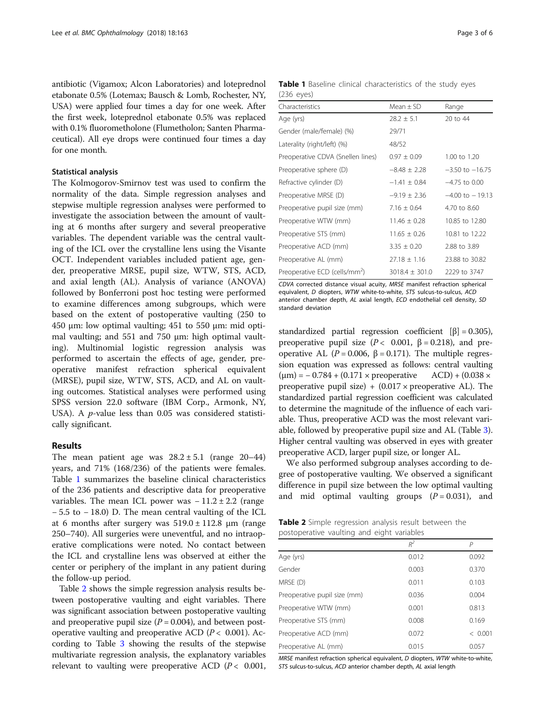antibiotic (Vigamox; Alcon Laboratories) and loteprednol etabonate 0.5% (Lotemax; Bausch & Lomb, Rochester, NY, USA) were applied four times a day for one week. After the first week, loteprednol etabonate 0.5% was replaced with 0.1% fluorometholone (Flumetholon; Santen Pharmaceutical). All eye drops were continued four times a day for one month.

#### Statistical analysis

The Kolmogorov-Smirnov test was used to confirm the normality of the data. Simple regression analyses and stepwise multiple regression analyses were performed to investigate the association between the amount of vaulting at 6 months after surgery and several preoperative variables. The dependent variable was the central vaulting of the ICL over the crystalline lens using the Visante OCT. Independent variables included patient age, gender, preoperative MRSE, pupil size, WTW, STS, ACD, and axial length (AL). Analysis of variance (ANOVA) followed by Bonferroni post hoc testing were performed to examine differences among subgroups, which were based on the extent of postoperative vaulting (250 to 450 μm: low optimal vaulting; 451 to 550 μm: mid optimal vaulting; and 551 and 750 μm: high optimal vaulting). Multinomial logistic regression analysis was performed to ascertain the effects of age, gender, preoperative manifest refraction spherical equivalent (MRSE), pupil size, WTW, STS, ACD, and AL on vaulting outcomes. Statistical analyses were performed using SPSS version 22.0 software (IBM Corp., Armonk, NY, USA). A p-value less than 0.05 was considered statistically significant.

### Results

The mean patient age was  $28.2 \pm 5.1$  (range 20-44) years, and 71% (168/236) of the patients were females. Table 1 summarizes the baseline clinical characteristics of the 236 patients and descriptive data for preoperative variables. The mean ICL power was  $-11.2 \pm 2.2$  (range − 5.5 to − 18.0) D. The mean central vaulting of the ICL at 6 months after surgery was  $519.0 \pm 112.8$  μm (range 250–740). All surgeries were uneventful, and no intraoperative complications were noted. No contact between the ICL and crystalline lens was observed at either the center or periphery of the implant in any patient during the follow-up period.

Table 2 shows the simple regression analysis results between postoperative vaulting and eight variables. There was significant association between postoperative vaulting and preoperative pupil size  $(P = 0.004)$ , and between postoperative vaulting and preoperative ACD ( $P < 0.001$ ). According to Table [3](#page-3-0) showing the results of the stepwise multivariate regression analysis, the explanatory variables relevant to vaulting were preoperative ACD  $(P < 0.001$ ,

Table 1 Baseline clinical characteristics of the study eyes (236 eyes)

| Characteristics                           | $Mean + SD$        | Range               |
|-------------------------------------------|--------------------|---------------------|
| Age (yrs)                                 | $28.2 \pm 5.1$     | 20 to 44            |
| Gender (male/female) (%)                  | 29/71              |                     |
| Laterality (right/left) (%)               | 48/52              |                     |
| Preoperative CDVA (Snellen lines)         | $0.97 \pm 0.09$    | $1.00$ to $1.20$    |
| Preoperative sphere (D)                   | $-8.48 \pm 2.28$   | $-3.50$ to $-16.75$ |
| Refractive cylinder (D)                   | $-1.41 \pm 0.84$   | $-4.75$ to 0.00     |
| Preoperative MRSE (D)                     | $-9.19 \pm 2.36$   | $-4.00$ to $-19.13$ |
| Preoperative pupil size (mm)              | $7.16 \pm 0.64$    | 4.70 to 8.60        |
| Preoperative WTW (mm)                     | $11.46 \pm 0.28$   | 10.85 to 12.80      |
| Preoperative STS (mm)                     | $11.65 \pm 0.26$   | 10.81 to 12.22      |
| Preoperative ACD (mm)                     | $3.35 \pm 0.20$    | 2.88 to 3.89        |
| Preoperative AL (mm)                      | $27.18 \pm 1.16$   | 23.88 to 30.82      |
| Preoperative ECD (cells/mm <sup>2</sup> ) | $3018.4 \pm 301.0$ | 2229 to 3747        |

CDVA corrected distance visual acuity, MRSE manifest refraction spherical equivalent, D diopters, WTW white-to-white, STS sulcus-to-sulcus, ACD anterior chamber depth, AL axial length, ECD endothelial cell density, SD standard deviation

standardized partial regression coefficient  $[\beta] = 0.305$ ), preoperative pupil size ( $P < 0.001$ ,  $β = 0.218$ ), and preoperative AL ( $P = 0.006$ ,  $β = 0.171$ ). The multiple regression equation was expressed as follows: central vaulting  $(\mu m) = -0.784 + (0.171 \times \text{preoperative}$  ACD) +  $(0.038 \times$ preoperative pupil size)  $+$  (0.017  $\times$  preoperative AL). The standardized partial regression coefficient was calculated to determine the magnitude of the influence of each variable. Thus, preoperative ACD was the most relevant variable, followed by preoperative pupil size and AL (Table [3](#page-3-0)). Higher central vaulting was observed in eyes with greater preoperative ACD, larger pupil size, or longer AL.

We also performed subgroup analyses according to degree of postoperative vaulting. We observed a significant difference in pupil size between the low optimal vaulting and mid optimal vaulting groups  $(P = 0.031)$ , and

Table 2 Simple regression analysis result between the postoperative vaulting and eight variables

| postoperative vaditing and eight vanables |       |         |  |
|-------------------------------------------|-------|---------|--|
|                                           | $R^2$ | Ρ       |  |
| Age (yrs)                                 | 0.012 | 0.092   |  |
| Gender                                    | 0.003 | 0.370   |  |
| MRSE (D)                                  | 0.011 | 0.103   |  |
| Preoperative pupil size (mm)              | 0.036 | 0.004   |  |
| Preoperative WTW (mm)                     | 0.001 | 0.813   |  |
| Preoperative STS (mm)                     | 0.008 | 0.169   |  |
| Preoperative ACD (mm)                     | 0.072 | < 0.001 |  |
| Preoperative AL (mm)                      | 0.015 | 0.057   |  |

MRSE manifest refraction spherical equivalent, D diopters, WTW white-to-white, STS sulcus-to-sulcus, ACD anterior chamber depth, AL axial length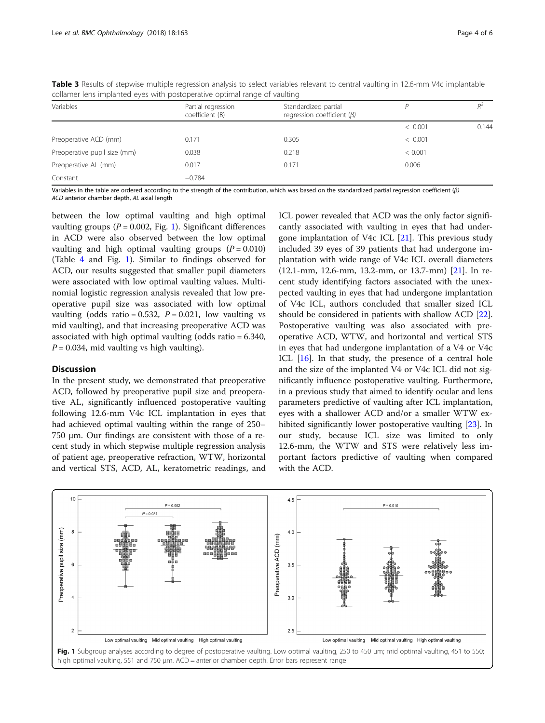| Variables                    | Partial regression<br>coefficient (B) | Standardized partial<br>regression coefficient $(\beta)$ |         |       |
|------------------------------|---------------------------------------|----------------------------------------------------------|---------|-------|
|                              |                                       |                                                          | < 0.001 | 0.144 |
| Preoperative ACD (mm)        | 0.171                                 | 0.305                                                    | < 0.001 |       |
| Preoperative pupil size (mm) | 0.038                                 | 0.218                                                    | < 0.001 |       |
| Preoperative AL (mm)         | 0.017                                 | 0.171                                                    | 0.006   |       |
| Constant                     | $-0.784$                              |                                                          |         |       |

<span id="page-3-0"></span>Table 3 Results of stepwise multiple regression analysis to select variables relevant to central vaulting in 12.6-mm V4c implantable collamer lens implanted eyes with postoperative optimal range of vaulting

Variables in the table are ordered according to the strength of the contribution, which was based on the standardized partial regression coefficient (β) ACD anterior chamber depth, AL axial length

between the low optimal vaulting and high optimal vaulting groups ( $P = 0.002$ , Fig. 1). Significant differences in ACD were also observed between the low optimal vaulting and high optimal vaulting groups  $(P = 0.010)$ (Table [4](#page-4-0) and Fig. 1). Similar to findings observed for ACD, our results suggested that smaller pupil diameters were associated with low optimal vaulting values. Multinomial logistic regression analysis revealed that low preoperative pupil size was associated with low optimal vaulting (odds ratio = 0.532,  $P = 0.021$ , low vaulting vs mid vaulting), and that increasing preoperative ACD was associated with high optimal vaulting (odds ratio = 6.340,  $P = 0.034$ , mid vaulting vs high vaulting).

## **Discussion**

In the present study, we demonstrated that preoperative ACD, followed by preoperative pupil size and preoperative AL, significantly influenced postoperative vaulting following 12.6-mm V4c ICL implantation in eyes that had achieved optimal vaulting within the range of 250– 750 μm. Our findings are consistent with those of a recent study in which stepwise multiple regression analysis of patient age, preoperative refraction, WTW, horizontal and vertical STS, ACD, AL, keratometric readings, and

ICL power revealed that ACD was the only factor significantly associated with vaulting in eyes that had undergone implantation of V4c ICL [[21](#page-5-0)]. This previous study included 39 eyes of 39 patients that had undergone implantation with wide range of V4c ICL overall diameters (12.1-mm, 12.6-mm, 13.2-mm, or 13.7-mm) [[21](#page-5-0)]. In recent study identifying factors associated with the unexpected vaulting in eyes that had undergone implantation of V4c ICL, authors concluded that smaller sized ICL should be considered in patients with shallow ACD [\[22](#page-5-0)]. Postoperative vaulting was also associated with preoperative ACD, WTW, and horizontal and vertical STS in eyes that had undergone implantation of a V4 or V4c ICL [[16\]](#page-5-0). In that study, the presence of a central hole and the size of the implanted V4 or V4c ICL did not significantly influence postoperative vaulting. Furthermore, in a previous study that aimed to identify ocular and lens parameters predictive of vaulting after ICL implantation, eyes with a shallower ACD and/or a smaller WTW exhibited significantly lower postoperative vaulting [\[23](#page-5-0)]. In our study, because ICL size was limited to only 12.6-mm, the WTW and STS were relatively less important factors predictive of vaulting when compared with the ACD.

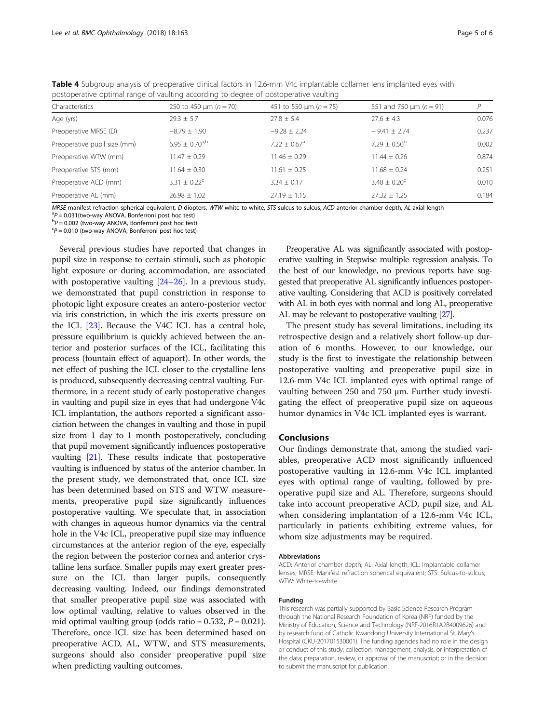| postoperative optimal range of vaulting according to degree of postoperative vaulting |                                     |                                     |                                      |       |  |  |
|---------------------------------------------------------------------------------------|-------------------------------------|-------------------------------------|--------------------------------------|-------|--|--|
| Characteristics                                                                       | 250 to 450 $\mu$ m ( <i>n</i> = 70) | 451 to 550 $\mu$ m ( <i>n</i> = 75) | 551 and 750 $\mu$ m ( <i>n</i> = 91) | D     |  |  |
| Age (yrs)                                                                             | $29.3 \pm 5.7$                      | $27.8 \pm 5.4$                      | $27.6 \pm 4.3$                       | 0.076 |  |  |
| Preoperative MRSE (D)                                                                 | $-8.79 \pm 1.90$                    | $-9.28 \pm 2.24$                    | $-9.41 \pm 2.74$                     | 0.237 |  |  |
| Preoperative pupil size (mm)                                                          | $6.95 \pm 0.70$ <sup>a,b</sup>      | $7.22 \pm 0.67$ <sup>a</sup>        | $7.29 \pm 0.50^{\circ}$              | 0.002 |  |  |
| Preoperative WTW (mm)                                                                 | $11.47 \pm 0.29$                    | $11.46 \pm 0.29$                    | $11.44 \pm 0.26$                     | 0.874 |  |  |
| Preoperative STS (mm)                                                                 | $11.64 \pm 0.30$                    | $11.61 \pm 0.25$                    | $11.68 \pm 0.24$                     | 0.251 |  |  |
| Preoperative ACD (mm)                                                                 | $3.31 \pm 0.22^c$                   | $3.34 \pm 0.17$                     | $3.40 \pm 0.20^{\circ}$              | 0.01C |  |  |
|                                                                                       |                                     |                                     |                                      |       |  |  |

Preoperative AL (mm) 26.98 ± 1.02 27.19 ± 1.15 27.32 ± 1.25 0.184

<span id="page-4-0"></span>Table 4 Subgroup analysis of preoperative clinical factors in 12.6-mm V4c implantable collamer lens implanted eyes with postoperative optimal range of vaulting according to degree of postoperative vaulting

MRSE manifest refraction spherical equivalent, D diopters, WTW white-to-white, STS sulcus-to-sulcus, ACD anterior chamber depth, AL axial length

 $P = 0.031$ (two-way ANOVA, Bonferroni post hoc test)

 $P = 0.002$  (two-way ANOVA, Bonferroni post hoc test)

 $P = 0.010$  (two-way ANOVA, Bonferroni post hoc test)

Several previous studies have reported that changes in pupil size in response to certain stimuli, such as photopic light exposure or during accommodation, are associated with postoperative vaulting [\[24](#page-5-0)–[26\]](#page-5-0). In a previous study, we demonstrated that pupil constriction in response to photopic light exposure creates an antero-posterior vector via iris constriction, in which the iris exerts pressure on the ICL [[23\]](#page-5-0). Because the V4C ICL has a central hole, pressure equilibrium is quickly achieved between the anterior and posterior surfaces of the ICL, facilitating this process (fountain effect of aquaport). In other words, the net effect of pushing the ICL closer to the crystalline lens is produced, subsequently decreasing central vaulting. Furthermore, in a recent study of early postoperative changes in vaulting and pupil size in eyes that had undergone V4c ICL implantation, the authors reported a significant association between the changes in vaulting and those in pupil size from 1 day to 1 month postoperatively, concluding that pupil movement significantly influences postoperative vaulting [\[21\]](#page-5-0). These results indicate that postoperative vaulting is influenced by status of the anterior chamber. In the present study, we demonstrated that, once ICL size has been determined based on STS and WTW measurements, preoperative pupil size significantly influences postoperative vaulting. We speculate that, in association with changes in aqueous humor dynamics via the central hole in the V4c ICL, preoperative pupil size may influence circumstances at the anterior region of the eye, especially the region between the posterior cornea and anterior crystalline lens surface. Smaller pupils may exert greater pressure on the ICL than larger pupils, consequently decreasing vaulting. Indeed, our findings demonstrated that smaller preoperative pupil size was associated with low optimal vaulting, relative to values observed in the mid optimal vaulting group (odds ratio =  $0.532$ ,  $P = 0.021$ ). Therefore, once ICL size has been determined based on preoperative ACD, AL, WTW, and STS measurements, surgeons should also consider preoperative pupil size when predicting vaulting outcomes.

Preoperative AL was significantly associated with postoperative vaulting in Stepwise multiple regression analysis. To the best of our knowledge, no previous reports have suggested that preoperative AL significantly influences postoperative vaulting. Considering that ACD is positively correlated with AL in both eyes with normal and long AL, preoperative AL may be relevant to postoperative vaulting [\[27](#page-5-0)].

The present study has several limitations, including its retrospective design and a relatively short follow-up duration of 6 months. However, to our knowledge, our study is the first to investigate the relationship between postoperative vaulting and preoperative pupil size in 12.6-mm V4c ICL implanted eyes with optimal range of vaulting between 250 and 750 μm. Further study investigating the effect of preoperative pupil size on aqueous humor dynamics in V4c ICL implanted eyes is warrant.

#### Conclusions

Our findings demonstrate that, among the studied variables, preoperative ACD most significantly influenced postoperative vaulting in 12.6-mm V4c ICL implanted eyes with optimal range of vaulting, followed by preoperative pupil size and AL. Therefore, surgeons should take into account preoperative ACD, pupil size, and AL when considering implantation of a 12.6-mm V4c ICL, particularly in patients exhibiting extreme values, for whom size adjustments may be required.

#### Abbreviations

ACD: Anterior chamber depth; AL: Axial length; ICL: Implantable collamer lenses; MRSE: Manifest refraction spherical equivalent; STS: Sulcus-to-sulcus; WTW: White-to-white

#### Funding

This research was partially supported by Basic Science Research Program through the National Research Foundation of Korea (NRF) funded by the Ministry of Education, Science and Technology (NRF-2016R1A2B4009626) and by research fund of Catholic Kwandong University International St. Mary's Hospital (CKU-201701530001). The funding agencies had no role in the design or conduct of this study; collection, management, analysis, or interpretation of the data; preparation, review, or approval of the manuscript; or in the decision to submit the manuscript for publication.